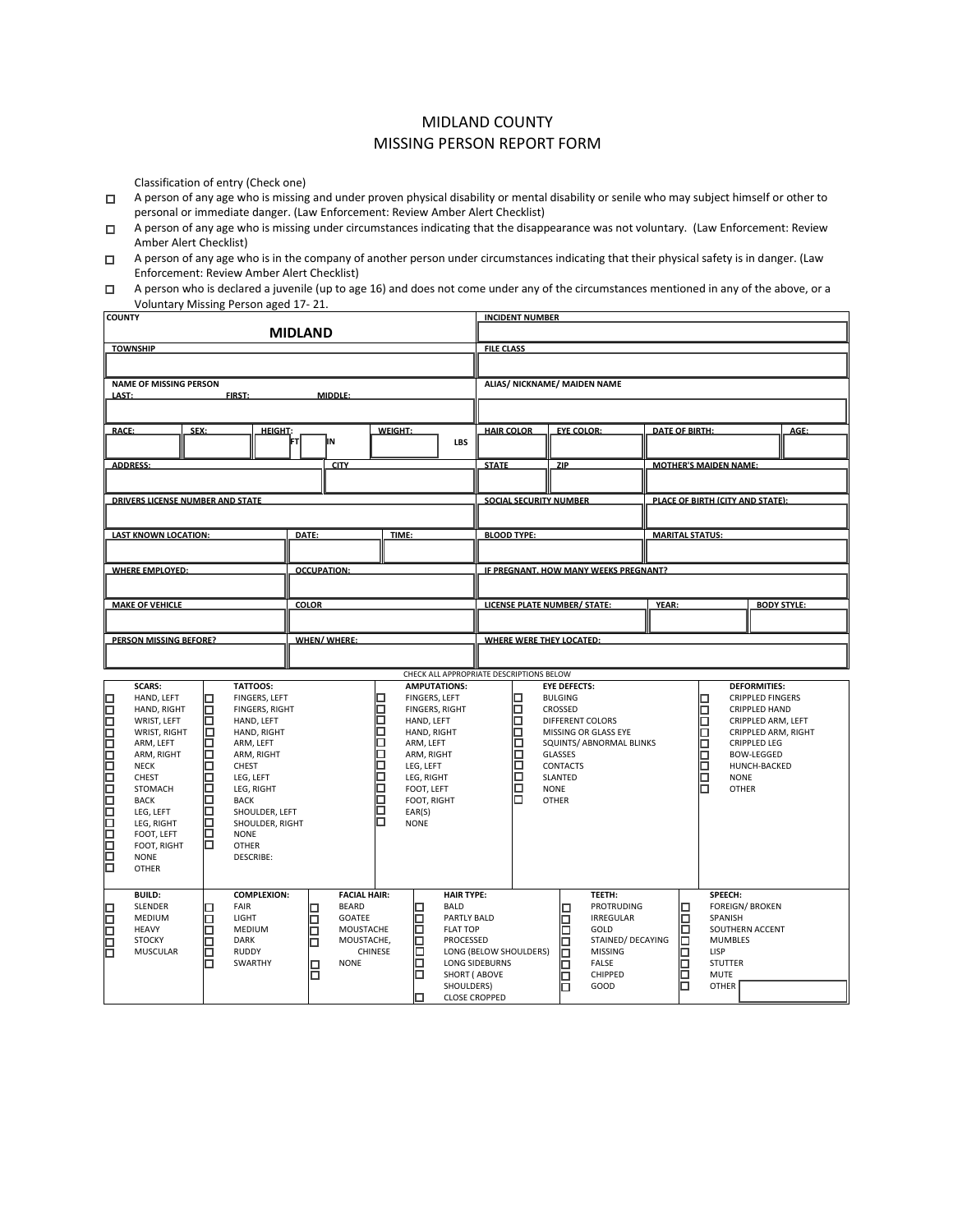## MIDLAND COUNTY MISSING PERSON REPORT FORM

Classification of entry (Check one)

- o A person of any age who is missing and under proven physical disability or mental disability or senile who may subject himself or other to personal or immediate danger. (Law Enforcement: Review Amber Alert Checklist)
- $\Box$  A person of any age who is missing under circumstances indicating that the disappearance was not voluntary. (Law Enforcement: Review Amber Alert Checklist)
- $\Box$  A person of any age who is in the company of another person under circumstances indicating that their physical safety is in danger. (Law Enforcement: Review Amber Alert Checklist)

| A person who is declared a juvenile (up to age 16) and does not come under any of the circumstances mentioned in any of the above, or a |
|-----------------------------------------------------------------------------------------------------------------------------------------|
| Voluntary Missing Person aged 17-21.                                                                                                    |

| <b>COUNTY</b>                                                                                                                                                                                                                                           |                                                                                                                                                                                                                                                                                                          |                                                                                                                              |                                                                                                                                                               |                                                                                                                                        | <b>INCIDENT NUMBER</b>                          |                                                                                                   |                                                                                                                            |       |                                                                                                      |                                                                                                                                                                                  |                    |
|---------------------------------------------------------------------------------------------------------------------------------------------------------------------------------------------------------------------------------------------------------|----------------------------------------------------------------------------------------------------------------------------------------------------------------------------------------------------------------------------------------------------------------------------------------------------------|------------------------------------------------------------------------------------------------------------------------------|---------------------------------------------------------------------------------------------------------------------------------------------------------------|----------------------------------------------------------------------------------------------------------------------------------------|-------------------------------------------------|---------------------------------------------------------------------------------------------------|----------------------------------------------------------------------------------------------------------------------------|-------|------------------------------------------------------------------------------------------------------|----------------------------------------------------------------------------------------------------------------------------------------------------------------------------------|--------------------|
|                                                                                                                                                                                                                                                         |                                                                                                                                                                                                                                                                                                          | <b>MIDLAND</b>                                                                                                               |                                                                                                                                                               |                                                                                                                                        |                                                 |                                                                                                   |                                                                                                                            |       |                                                                                                      |                                                                                                                                                                                  |                    |
| <b>TOWNSHIP</b>                                                                                                                                                                                                                                         |                                                                                                                                                                                                                                                                                                          |                                                                                                                              |                                                                                                                                                               |                                                                                                                                        | <b>FILE CLASS</b>                               |                                                                                                   |                                                                                                                            |       |                                                                                                      |                                                                                                                                                                                  |                    |
|                                                                                                                                                                                                                                                         |                                                                                                                                                                                                                                                                                                          |                                                                                                                              |                                                                                                                                                               |                                                                                                                                        |                                                 |                                                                                                   |                                                                                                                            |       |                                                                                                      |                                                                                                                                                                                  |                    |
| <b>NAME OF MISSING PERSON</b>                                                                                                                                                                                                                           |                                                                                                                                                                                                                                                                                                          |                                                                                                                              |                                                                                                                                                               |                                                                                                                                        | ALIAS/ NICKNAME/ MAIDEN NAME                    |                                                                                                   |                                                                                                                            |       |                                                                                                      |                                                                                                                                                                                  |                    |
| LAST:                                                                                                                                                                                                                                                   | FIRST:                                                                                                                                                                                                                                                                                                   | MIDDLE:                                                                                                                      |                                                                                                                                                               |                                                                                                                                        |                                                 |                                                                                                   |                                                                                                                            |       |                                                                                                      |                                                                                                                                                                                  |                    |
|                                                                                                                                                                                                                                                         |                                                                                                                                                                                                                                                                                                          |                                                                                                                              |                                                                                                                                                               |                                                                                                                                        |                                                 |                                                                                                   |                                                                                                                            |       |                                                                                                      |                                                                                                                                                                                  |                    |
| <b>RACE:</b>                                                                                                                                                                                                                                            | SEX:<br><b>HEIGHT:</b>                                                                                                                                                                                                                                                                                   |                                                                                                                              | <b>WEIGHT:</b>                                                                                                                                                |                                                                                                                                        | <b>HAIR COLOR</b>                               | <b>EYE COLOR:</b>                                                                                 |                                                                                                                            |       | <b>DATE OF BIRTH:</b>                                                                                |                                                                                                                                                                                  | AGE:               |
|                                                                                                                                                                                                                                                         |                                                                                                                                                                                                                                                                                                          | ļΙN<br>Τ                                                                                                                     |                                                                                                                                                               | LBS                                                                                                                                    |                                                 |                                                                                                   |                                                                                                                            |       |                                                                                                      |                                                                                                                                                                                  |                    |
| <b>ADDRESS:</b>                                                                                                                                                                                                                                         |                                                                                                                                                                                                                                                                                                          | <b>CITY</b>                                                                                                                  |                                                                                                                                                               |                                                                                                                                        | <b>STATE</b>                                    | ZIP                                                                                               |                                                                                                                            |       | <b>MOTHER'S MAIDEN NAME:</b>                                                                         |                                                                                                                                                                                  |                    |
|                                                                                                                                                                                                                                                         |                                                                                                                                                                                                                                                                                                          |                                                                                                                              |                                                                                                                                                               |                                                                                                                                        |                                                 |                                                                                                   |                                                                                                                            |       |                                                                                                      |                                                                                                                                                                                  |                    |
|                                                                                                                                                                                                                                                         |                                                                                                                                                                                                                                                                                                          |                                                                                                                              |                                                                                                                                                               |                                                                                                                                        |                                                 |                                                                                                   |                                                                                                                            |       |                                                                                                      |                                                                                                                                                                                  |                    |
| <b>DRIVERS LICENSE NUMBER AND STATE</b>                                                                                                                                                                                                                 |                                                                                                                                                                                                                                                                                                          |                                                                                                                              |                                                                                                                                                               |                                                                                                                                        | <b>SOCIAL SECURITY NUMBER</b>                   |                                                                                                   |                                                                                                                            |       |                                                                                                      | PLACE OF BIRTH (CITY AND STATE):                                                                                                                                                 |                    |
|                                                                                                                                                                                                                                                         |                                                                                                                                                                                                                                                                                                          |                                                                                                                              |                                                                                                                                                               |                                                                                                                                        |                                                 |                                                                                                   |                                                                                                                            |       |                                                                                                      |                                                                                                                                                                                  |                    |
| <b>LAST KNOWN LOCATION:</b>                                                                                                                                                                                                                             |                                                                                                                                                                                                                                                                                                          | DATE:                                                                                                                        | TIME:                                                                                                                                                         |                                                                                                                                        | <b>BLOOD TYPE:</b>                              |                                                                                                   |                                                                                                                            |       | <b>MARITAL STATUS:</b>                                                                               |                                                                                                                                                                                  |                    |
|                                                                                                                                                                                                                                                         |                                                                                                                                                                                                                                                                                                          |                                                                                                                              |                                                                                                                                                               |                                                                                                                                        |                                                 |                                                                                                   |                                                                                                                            |       |                                                                                                      |                                                                                                                                                                                  |                    |
| <b>WHERE EMPLOYED:</b>                                                                                                                                                                                                                                  |                                                                                                                                                                                                                                                                                                          | <b>OCCUPATION:</b>                                                                                                           |                                                                                                                                                               |                                                                                                                                        |                                                 |                                                                                                   | IF PREGNANT. HOW MANY WEEKS PREGNANT?                                                                                      |       |                                                                                                      |                                                                                                                                                                                  |                    |
|                                                                                                                                                                                                                                                         |                                                                                                                                                                                                                                                                                                          |                                                                                                                              |                                                                                                                                                               |                                                                                                                                        |                                                 |                                                                                                   |                                                                                                                            |       |                                                                                                      |                                                                                                                                                                                  |                    |
| <b>MAKE OF VEHICLE</b>                                                                                                                                                                                                                                  |                                                                                                                                                                                                                                                                                                          | <b>COLOR</b>                                                                                                                 |                                                                                                                                                               |                                                                                                                                        | <b>LICENSE PLATE NUMBER/ STATE:</b>             |                                                                                                   |                                                                                                                            | YEAR: |                                                                                                      |                                                                                                                                                                                  | <b>BODY STYLE:</b> |
|                                                                                                                                                                                                                                                         |                                                                                                                                                                                                                                                                                                          |                                                                                                                              |                                                                                                                                                               |                                                                                                                                        |                                                 |                                                                                                   |                                                                                                                            |       |                                                                                                      |                                                                                                                                                                                  |                    |
|                                                                                                                                                                                                                                                         |                                                                                                                                                                                                                                                                                                          |                                                                                                                              |                                                                                                                                                               |                                                                                                                                        |                                                 |                                                                                                   |                                                                                                                            |       |                                                                                                      |                                                                                                                                                                                  |                    |
| <b>PERSON MISSING BEFORE?</b>                                                                                                                                                                                                                           |                                                                                                                                                                                                                                                                                                          | <b>WHEN/WHERE:</b>                                                                                                           |                                                                                                                                                               |                                                                                                                                        | <b>WHERE WERE THEY LOCATED:</b>                 |                                                                                                   |                                                                                                                            |       |                                                                                                      |                                                                                                                                                                                  |                    |
|                                                                                                                                                                                                                                                         |                                                                                                                                                                                                                                                                                                          |                                                                                                                              |                                                                                                                                                               |                                                                                                                                        |                                                 |                                                                                                   |                                                                                                                            |       |                                                                                                      |                                                                                                                                                                                  |                    |
| <b>SCARS:</b>                                                                                                                                                                                                                                           | TATTOOS:                                                                                                                                                                                                                                                                                                 |                                                                                                                              |                                                                                                                                                               | <b>AMPUTATIONS:</b>                                                                                                                    | CHECK ALL APPROPRIATE DESCRIPTIONS BELOW        | <b>EYE DEFECTS:</b>                                                                               |                                                                                                                            |       |                                                                                                      | <b>DEFORMITIES:</b>                                                                                                                                                              |                    |
| 0000000000000000<br>HAND, LEFT<br>HAND, RIGHT<br>WRIST, LEFT<br>WRIST, RIGHT<br>ARM, LEFT<br>ARM, RIGHT<br><b>NECK</b><br>CHEST<br><b>STOMACH</b><br><b>BACK</b><br>LEG, LEFT<br>LEG, RIGHT<br>FOOT, LEFT<br>FOOT, RIGHT<br><b>NONE</b><br><b>OTHER</b> | □<br>FINGERS, LEFT<br>o<br><b>FINGERS, RIGHT</b><br>Ω<br>HAND, LEFT<br>α<br>HAND, RIGHT<br>Ω<br>ARM, LEFT<br>Ω<br>ARM, RIGHT<br>ō<br>CHEST<br>◻<br>LEG, LEFT<br>Ω<br>LEG, RIGHT<br>◻<br><b>BACK</b><br>ō<br>SHOULDER, LEFT<br>□<br>SHOULDER, RIGHT<br>о<br><b>NONE</b><br>◻<br><b>OTHER</b><br>DESCRIBE: |                                                                                                                              | □<br>0000000000<br>HAND, LEFT<br>HAND, RIGHT<br>ARM, LEFT<br>ARM, RIGHT<br>LEG, LEFT<br>LEG, RIGHT<br>FOOT, LEFT<br>FOOT, RIGHT<br>EAR(S)<br>п<br><b>NONE</b> | FINGERS, LEFT<br><b>FINGERS, RIGHT</b>                                                                                                 | □<br>Ō<br>000000<br>Ō                           | <b>BULGING</b><br>CROSSED<br>GLASSES<br><b>CONTACTS</b><br>SLANTED<br><b>NONE</b><br><b>OTHER</b> | <b>DIFFERENT COLORS</b><br>MISSING OR GLASS EYE<br>SQUINTS/ ABNORMAL BLINKS                                                |       | ◻<br>□<br>п<br>⊓<br>□<br>◻<br>□                                                                      | <b>CRIPPLED FINGERS</b><br>CRIPPLED HAND<br>CRIPPLED ARM, LEFT<br>CRIPPLED ARM, RIGHT<br><b>CRIPPLED LEG</b><br><b>BOW-LEGGED</b><br>HUNCH-BACKED<br><b>NONE</b><br><b>OTHER</b> |                    |
| <b>BUILD:</b><br><b>SLENDER</b><br>口<br>ᇛ<br>MEDIUM<br><b>HEAVY</b><br><b>STOCKY</b><br><b>MUSCULAR</b>                                                                                                                                                 | <b>COMPLEXION:</b><br>FAIR<br>LIGHT<br>□<br>ά<br>MEDIUM<br>□<br><b>DARK</b><br>Ω<br><b>RUDDY</b><br>п<br>SWARTHY                                                                                                                                                                                         | <b>FACIAL HAIR:</b><br><b>BEARD</b><br>П<br><b>GOATEE</b><br>□<br>MOUSTACHE<br>□<br>MOUSTACHE,<br>п<br><b>NONE</b><br>□<br>◻ | ◻<br>□<br>□<br>□<br>□<br>CHINESE<br>п<br>п<br>◻                                                                                                               | <b>HAIR TYPE:</b><br><b>BALD</b><br>PARTLY BALD<br><b>FLAT TOP</b><br>PROCESSED<br>SHORT ( ABOVE<br>SHOULDERS)<br><b>CLOSE CROPPED</b> | LONG (BELOW SHOULDERS)<br><b>LONG SIDEBURNS</b> | □<br>2<br>□<br>ō<br>◻<br>◻<br>π                                                                   | TEETH:<br>PROTRUDING<br><b>IRREGULAR</b><br>GOLD<br>STAINED/ DECAYING<br><b>MISSING</b><br><b>FALSE</b><br>CHIPPED<br>GOOD |       | SPEECH:<br>□<br>□<br>SPANISH<br>п<br>п<br>LISP<br><b>STUTTER</b><br><b>MUTE</b><br>⊓<br><b>OTHER</b> | <b>FOREIGN/ BROKEN</b><br>SOUTHERN ACCENT<br><b>MUMBLES</b>                                                                                                                      |                    |